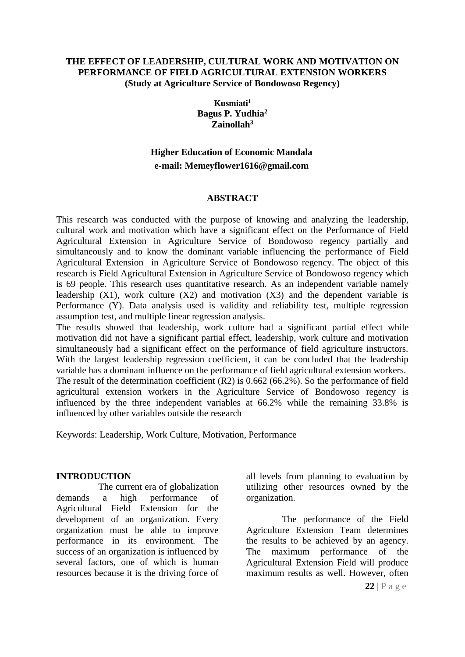## **THE EFFECT OF LEADERSHIP, CULTURAL WORK AND MOTIVATION ON PERFORMANCE OF FIELD AGRICULTURAL EXTENSION WORKERS (Study at Agriculture Service of Bondowoso Regency)**

**Kusmiati<sup>1</sup> Bagus P. Yudhia<sup>2</sup> Zainollah<sup>3</sup>**

# **Higher Education of Economic Mandala e-mail: Memeyflower1616@gmail.com**

## **ABSTRACT**

This research was conducted with the purpose of knowing and analyzing the leadership, cultural work and motivation which have a significant effect on the Performance of Field Agricultural Extension in Agriculture Service of Bondowoso regency partially and simultaneously and to know the dominant variable influencing the performance of Field Agricultural Extension in Agriculture Service of Bondowoso regency. The object of this research is Field Agricultural Extension in Agriculture Service of Bondowoso regency which is 69 people. This research uses quantitative research. As an independent variable namely leadership  $(X1)$ , work culture  $(X2)$  and motivation  $(X3)$  and the dependent variable is Performance (Y). Data analysis used is validity and reliability test, multiple regression assumption test, and multiple linear regression analysis.

The results showed that leadership, work culture had a significant partial effect while motivation did not have a significant partial effect, leadership, work culture and motivation simultaneously had a significant effect on the performance of field agriculture instructors. With the largest leadership regression coefficient, it can be concluded that the leadership variable has a dominant influence on the performance of field agricultural extension workers. The result of the determination coefficient (R2) is 0.662 (66.2%). So the performance of field agricultural extension workers in the Agriculture Service of Bondowoso regency is influenced by the three independent variables at 66.2% while the remaining 33.8% is influenced by other variables outside the research

Keywords: Leadership, Work Culture, Motivation, Performance

## **INTRODUCTION**

The current era of globalization demands a high performance of Agricultural Field Extension for the development of an organization. Every organization must be able to improve performance in its environment. The success of an organization is influenced by several factors, one of which is human resources because it is the driving force of all levels from planning to evaluation by utilizing other resources owned by the organization.

The performance of the Field Agriculture Extension Team determines the results to be achieved by an agency. The maximum performance of the Agricultural Extension Field will produce maximum results as well. However, often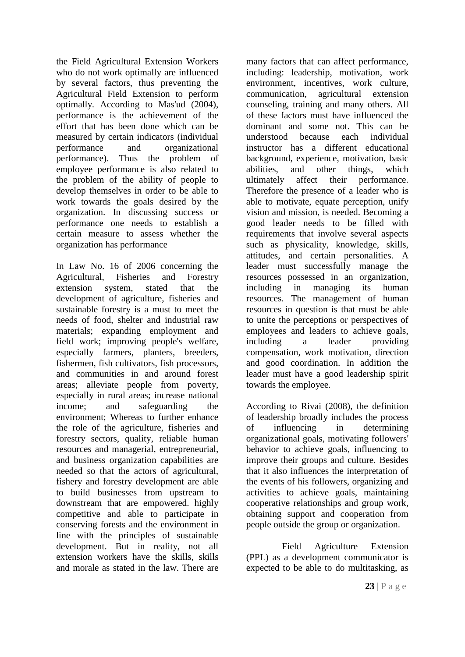the Field Agricultural Extension Workers who do not work optimally are influenced by several factors, thus preventing the Agricultural Field Extension to perform optimally. According to Mas'ud (2004), performance is the achievement of the effort that has been done which can be measured by certain indicators (individual performance and organizational performance). Thus the problem of employee performance is also related to the problem of the ability of people to develop themselves in order to be able to work towards the goals desired by the organization. In discussing success or performance one needs to establish a certain measure to assess whether the organization has performance

In Law No. 16 of 2006 concerning the Agricultural, Fisheries and Forestry extension system, stated that the development of agriculture, fisheries and sustainable forestry is a must to meet the needs of food, shelter and industrial raw materials; expanding employment and field work; improving people's welfare, especially farmers, planters, breeders, fishermen, fish cultivators, fish processors, and communities in and around forest areas; alleviate people from poverty, especially in rural areas; increase national income; and safeguarding the environment; Whereas to further enhance the role of the agriculture, fisheries and forestry sectors, quality, reliable human resources and managerial, entrepreneurial, and business organization capabilities are needed so that the actors of agricultural, fishery and forestry development are able to build businesses from upstream to downstream that are empowered. highly competitive and able to participate in conserving forests and the environment in line with the principles of sustainable development. But in reality, not all extension workers have the skills, skills and morale as stated in the law. There are

many factors that can affect performance, including: leadership, motivation, work environment, incentives, work culture, communication, agricultural extension counseling, training and many others. All of these factors must have influenced the dominant and some not. This can be understood because each individual instructor has a different educational background, experience, motivation, basic abilities, and other things, which ultimately affect their performance. Therefore the presence of a leader who is able to motivate, equate perception, unify vision and mission, is needed. Becoming a good leader needs to be filled with requirements that involve several aspects such as physicality, knowledge, skills, attitudes, and certain personalities. A leader must successfully manage the resources possessed in an organization, including in managing its human resources. The management of human resources in question is that must be able to unite the perceptions or perspectives of employees and leaders to achieve goals, including a leader providing compensation, work motivation, direction and good coordination. In addition the leader must have a good leadership spirit towards the employee.

According to Rivai (2008), the definition of leadership broadly includes the process of influencing in determining organizational goals, motivating followers' behavior to achieve goals, influencing to improve their groups and culture. Besides that it also influences the interpretation of the events of his followers, organizing and activities to achieve goals, maintaining cooperative relationships and group work, obtaining support and cooperation from people outside the group or organization.

Field Agriculture Extension (PPL) as a development communicator is expected to be able to do multitasking, as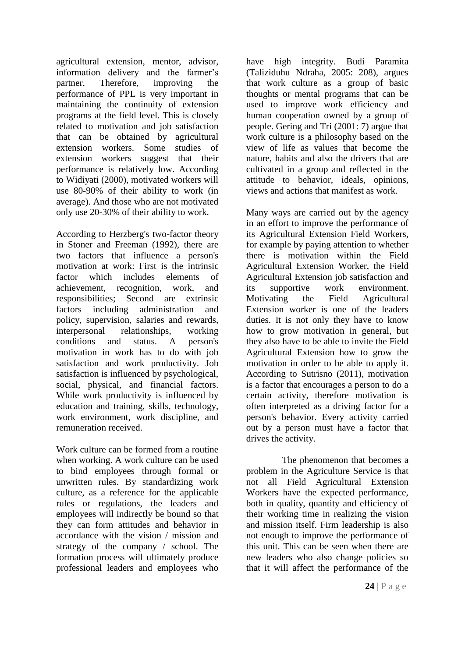agricultural extension, mentor, advisor, information delivery and the farmer's partner. Therefore, improving the performance of PPL is very important in maintaining the continuity of extension programs at the field level. This is closely related to motivation and job satisfaction that can be obtained by agricultural extension workers. Some studies of extension workers suggest that their performance is relatively low. According to Widiyati (2000), motivated workers will use 80-90% of their ability to work (in average). And those who are not motivated only use 20-30% of their ability to work.

According to Herzberg's two-factor theory in Stoner and Freeman (1992), there are two factors that influence a person's motivation at work: First is the intrinsic factor which includes elements of achievement, recognition, work, and responsibilities; Second are extrinsic factors including administration and policy, supervision, salaries and rewards, interpersonal relationships, working conditions and status. A person's motivation in work has to do with job satisfaction and work productivity. Job satisfaction is influenced by psychological, social, physical, and financial factors. While work productivity is influenced by education and training, skills, technology, work environment, work discipline, and remuneration received.

Work culture can be formed from a routine when working. A work culture can be used to bind employees through formal or unwritten rules. By standardizing work culture, as a reference for the applicable rules or regulations, the leaders and employees will indirectly be bound so that they can form attitudes and behavior in accordance with the vision / mission and strategy of the company / school. The formation process will ultimately produce professional leaders and employees who

have high integrity. Budi Paramita (Taliziduhu Ndraha, 2005: 208), argues that work culture as a group of basic thoughts or mental programs that can be used to improve work efficiency and human cooperation owned by a group of people. Gering and Tri (2001: 7) argue that work culture is a philosophy based on the view of life as values that become the nature, habits and also the drivers that are cultivated in a group and reflected in the attitude to behavior, ideals, opinions, views and actions that manifest as work.

Many ways are carried out by the agency in an effort to improve the performance of its Agricultural Extension Field Workers, for example by paying attention to whether there is motivation within the Field Agricultural Extension Worker, the Field Agricultural Extension job satisfaction and its supportive work environment. Motivating the Field Agricultural Extension worker is one of the leaders duties. It is not only they have to know how to grow motivation in general, but they also have to be able to invite the Field Agricultural Extension how to grow the motivation in order to be able to apply it. According to Sutrisno (2011), motivation is a factor that encourages a person to do a certain activity, therefore motivation is often interpreted as a driving factor for a person's behavior. Every activity carried out by a person must have a factor that drives the activity.

The phenomenon that becomes a problem in the Agriculture Service is that not all Field Agricultural Extension Workers have the expected performance, both in quality, quantity and efficiency of their working time in realizing the vision and mission itself. Firm leadership is also not enough to improve the performance of this unit. This can be seen when there are new leaders who also change policies so that it will affect the performance of the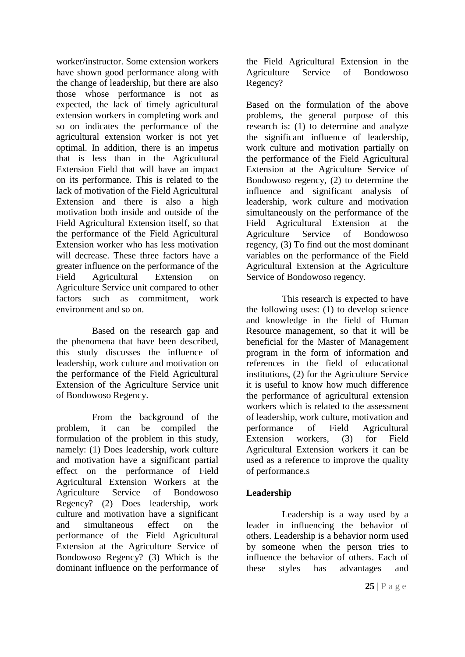worker/instructor. Some extension workers have shown good performance along with the change of leadership, but there are also those whose performance is not as expected, the lack of timely agricultural extension workers in completing work and so on indicates the performance of the agricultural extension worker is not yet optimal. In addition, there is an impetus that is less than in the Agricultural Extension Field that will have an impact on its performance. This is related to the lack of motivation of the Field Agricultural Extension and there is also a high motivation both inside and outside of the Field Agricultural Extension itself, so that the performance of the Field Agricultural Extension worker who has less motivation will decrease. These three factors have a greater influence on the performance of the Field Agricultural Extension on Agriculture Service unit compared to other factors such as commitment, work environment and so on.

Based on the research gap and the phenomena that have been described, this study discusses the influence of leadership, work culture and motivation on the performance of the Field Agricultural Extension of the Agriculture Service unit of Bondowoso Regency.

From the background of the problem, it can be compiled the formulation of the problem in this study, namely: (1) Does leadership, work culture and motivation have a significant partial effect on the performance of Field Agricultural Extension Workers at the Agriculture Service of Bondowoso Regency? (2) Does leadership, work culture and motivation have a significant and simultaneous effect on the performance of the Field Agricultural Extension at the Agriculture Service of Bondowoso Regency? (3) Which is the dominant influence on the performance of the Field Agricultural Extension in the Agriculture Service of Bondowoso Regency?

Based on the formulation of the above problems, the general purpose of this research is: (1) to determine and analyze the significant influence of leadership, work culture and motivation partially on the performance of the Field Agricultural Extension at the Agriculture Service of Bondowoso regency, (2) to determine the influence and significant analysis of leadership, work culture and motivation simultaneously on the performance of the Field Agricultural Extension at the Agriculture Service of Bondowoso regency, (3) To find out the most dominant variables on the performance of the Field Agricultural Extension at the Agriculture Service of Bondowoso regency.

This research is expected to have the following uses: (1) to develop science and knowledge in the field of Human Resource management, so that it will be beneficial for the Master of Management program in the form of information and references in the field of educational institutions, (2) for the Agriculture Service it is useful to know how much difference the performance of agricultural extension workers which is related to the assessment of leadership, work culture, motivation and performance of Field Agricultural Extension workers, (3) for Field Agricultural Extension workers it can be used as a reference to improve the quality of performance.s

# **Leadership**

Leadership is a way used by a leader in influencing the behavior of others. Leadership is a behavior norm used by someone when the person tries to influence the behavior of others. Each of these styles has advantages and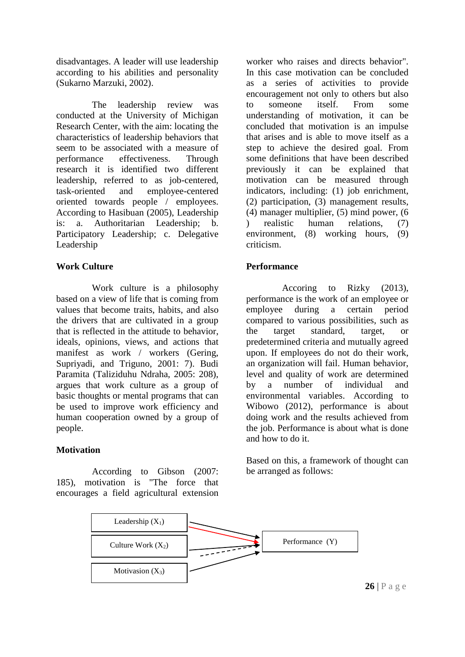disadvantages. A leader will use leadership according to his abilities and personality (Sukarno Marzuki, 2002).

The leadership review was conducted at the University of Michigan Research Center, with the aim: locating the characteristics of leadership behaviors that seem to be associated with a measure of performance effectiveness. Through research it is identified two different leadership, referred to as job-centered, task-oriented and employee-centered oriented towards people / employees. According to Hasibuan (2005), Leadership is: a. Authoritarian Leadership; b. Participatory Leadership; c. Delegative Leadership

# **Work Culture**

Work culture is a philosophy based on a view of life that is coming from values that become traits, habits, and also the drivers that are cultivated in a group that is reflected in the attitude to behavior, ideals, opinions, views, and actions that manifest as work / workers (Gering, Supriyadi, and Triguno, 2001: 7). Budi Paramita (Taliziduhu Ndraha, 2005: 208), argues that work culture as a group of basic thoughts or mental programs that can be used to improve work efficiency and human cooperation owned by a group of people.

# **Motivation**

According to Gibson (2007: 185), motivation is "The force that encourages a field agricultural extension

worker who raises and directs behavior". In this case motivation can be concluded as a series of activities to provide encouragement not only to others but also to someone itself. From some understanding of motivation, it can be concluded that motivation is an impulse that arises and is able to move itself as a step to achieve the desired goal. From some definitions that have been described previously it can be explained that motivation can be measured through indicators, including: (1) job enrichment, (2) participation, (3) management results, (4) manager multiplier, (5) mind power, (6 ) realistic human relations, (7) environment, (8) working hours, (9) criticism.

# **Performance**

Accoring to Rizky (2013), performance is the work of an employee or employee during a certain period compared to various possibilities, such as the target standard, target, or predetermined criteria and mutually agreed upon. If employees do not do their work, an organization will fail. Human behavior, level and quality of work are determined by a number of individual and environmental variables. According to Wibowo (2012), performance is about doing work and the results achieved from the job. Performance is about what is done and how to do it.

Based on this, a framework of thought can be arranged as follows:



**26** | P a g e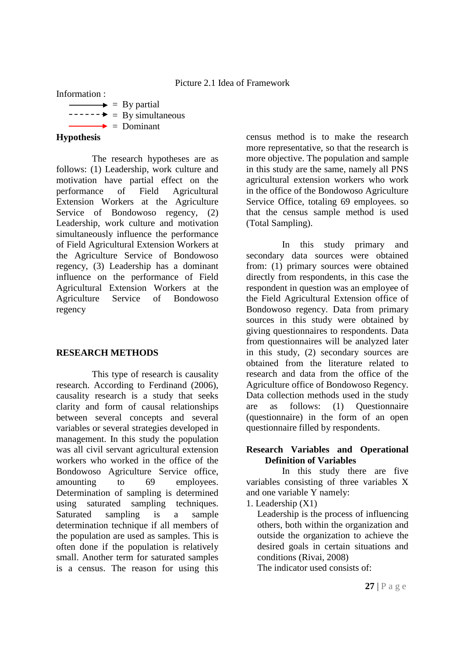Information :

 $\longrightarrow$  = By partial  $\text{---}$  = By simultaneous  $\rightarrow$  = Dominant

# **Hypothesis**

The research hypotheses are as follows: (1) Leadership, work culture and motivation have partial effect on the performance of Field Agricultural Extension Workers at the Agriculture Service of Bondowoso regency, (2) Leadership, work culture and motivation simultaneously influence the performance of Field Agricultural Extension Workers at the Agriculture Service of Bondowoso regency, (3) Leadership has a dominant influence on the performance of Field Agricultural Extension Workers at the Agriculture Service of Bondowoso regency

# **RESEARCH METHODS**

This type of research is causality research. According to Ferdinand (2006), causality research is a study that seeks clarity and form of causal relationships between several concepts and several variables or several strategies developed in management. In this study the population was all civil servant agricultural extension workers who worked in the office of the Bondowoso Agriculture Service office, amounting to 69 employees. Determination of sampling is determined using saturated sampling techniques. Saturated sampling is a sample determination technique if all members of the population are used as samples. This is often done if the population is relatively small. Another term for saturated samples is a census. The reason for using this census method is to make the research more representative, so that the research is more objective. The population and sample in this study are the same, namely all PNS agricultural extension workers who work in the office of the Bondowoso Agriculture Service Office, totaling 69 employees. so that the census sample method is used (Total Sampling).

In this study primary and secondary data sources were obtained from: (1) primary sources were obtained directly from respondents, in this case the respondent in question was an employee of the Field Agricultural Extension office of Bondowoso regency. Data from primary sources in this study were obtained by giving questionnaires to respondents. Data from questionnaires will be analyzed later in this study, (2) secondary sources are obtained from the literature related to research and data from the office of the Agriculture office of Bondowoso Regency. Data collection methods used in the study are as follows: (1) Questionnaire (questionnaire) in the form of an open questionnaire filled by respondents.

# **Research Variables and Operational Definition of Variables**

In this study there are five variables consisting of three variables X and one variable Y namely:

1. Leadership (X1)

Leadership is the process of influencing others, both within the organization and outside the organization to achieve the desired goals in certain situations and conditions (Rivai, 2008)

The indicator used consists of: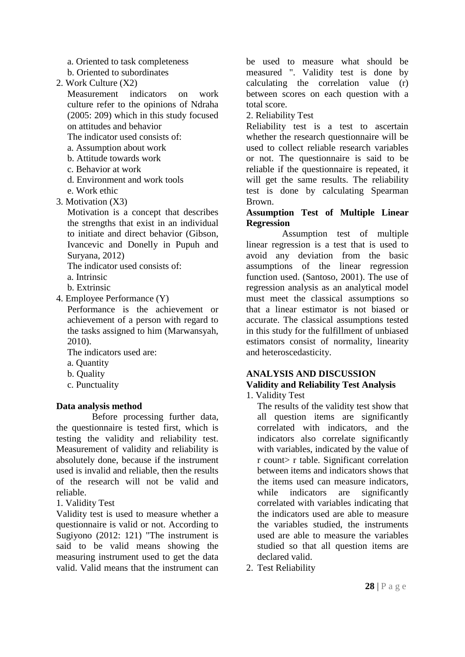a. Oriented to task completeness

- b. Oriented to subordinates
- 2. Work Culture (X2)

Measurement indicators on work culture refer to the opinions of Ndraha (2005: 209) which in this study focused on attitudes and behavior

The indicator used consists of:

- a. Assumption about work
- b. Attitude towards work
- c. Behavior at work
- d. Environment and work tools
- e. Work ethic
- 3. Motivation (X3)

Motivation is a concept that describes the strengths that exist in an individual to initiate and direct behavior (Gibson, Ivancevic and Donelly in Pupuh and Suryana, 2012)

The indicator used consists of:

- a. Intrinsic
- b. Extrinsic
- 4. Employee Performance (Y)

Performance is the achievement or achievement of a person with regard to the tasks assigned to him (Marwansyah, 2010).

The indicators used are:

- a. Quantity
- b. Quality
- c. Punctuality

# **Data analysis method**

Before processing further data, the questionnaire is tested first, which is testing the validity and reliability test. Measurement of validity and reliability is absolutely done, because if the instrument used is invalid and reliable, then the results of the research will not be valid and reliable.

1. Validity Test

Validity test is used to measure whether a questionnaire is valid or not. According to Sugiyono (2012: 121) "The instrument is said to be valid means showing the measuring instrument used to get the data valid. Valid means that the instrument can be used to measure what should be measured ". Validity test is done by calculating the correlation value (r) between scores on each question with a total score.

2. Reliability Test

Reliability test is a test to ascertain whether the research questionnaire will be used to collect reliable research variables or not. The questionnaire is said to be reliable if the questionnaire is repeated, it will get the same results. The reliability test is done by calculating Spearman Brown.

# **Assumption Test of Multiple Linear Regression**

Assumption test of multiple linear regression is a test that is used to avoid any deviation from the basic assumptions of the linear regression function used. (Santoso, 2001). The use of regression analysis as an analytical model must meet the classical assumptions so that a linear estimator is not biased or accurate. The classical assumptions tested in this study for the fulfillment of unbiased estimators consist of normality, linearity and heteroscedasticity.

# **ANALYSIS AND DISCUSSION Validity and Reliability Test Analysis**

1. Validity Test

The results of the validity test show that all question items are significantly correlated with indicators, and the indicators also correlate significantly with variables, indicated by the value of r count> r table. Significant correlation between items and indicators shows that the items used can measure indicators, while indicators are significantly correlated with variables indicating that the indicators used are able to measure the variables studied, the instruments used are able to measure the variables studied so that all question items are declared valid.

2. Test Reliability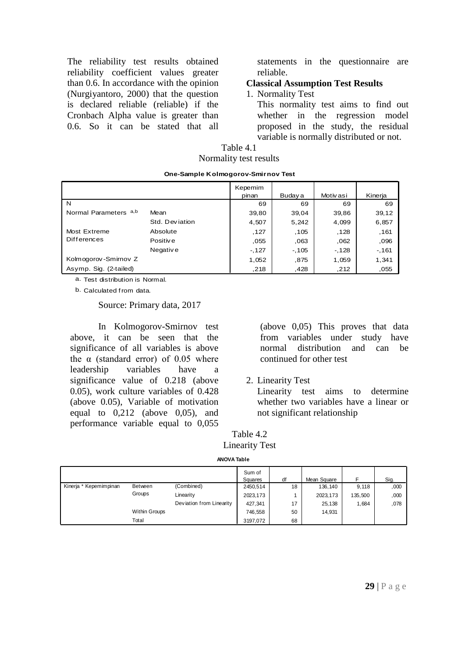The reliability test results obtained reliability coefficient values greater than 0.6. In accordance with the opinion (Nurgiyantoro, 2000) that the question is declared reliable (reliable) if the Cronbach Alpha value is greater than 0.6. So it can be stated that all

statements in the questionnaire are reliable.

## **Classical Assumption Test Results**

## 1. Normality Test

This normality test aims to find out whether in the regression model proposed in the study, the residual variable is normally distributed or not.

| Table 4.1              |
|------------------------|
| Normality test results |

| One-Sample Kolmogorov-Smirnov Test |                |                  |         |           |         |  |  |  |  |
|------------------------------------|----------------|------------------|---------|-----------|---------|--|--|--|--|
|                                    |                | Kepemim<br>pinan | Buday a | Motiv asi | Kinerja |  |  |  |  |
| N                                  |                | 69               | 69      | 69        | 69      |  |  |  |  |
| Normal Parameters a,b              | Mean           | 39,80            | 39.04   | 39,86     | 39,12   |  |  |  |  |
|                                    | Std. Deviation | 4,507            | 5,242   | 4,099     | 6,857   |  |  |  |  |
| Most Extreme                       | Absolute       | , 127            | .105    | .128      | ,161    |  |  |  |  |
| <b>Differences</b>                 | Positiv e      | ,055             | .063    | ,062      | ,096    |  |  |  |  |
|                                    | Negative       | $-127$           | $-105$  | $-128$    | $-161$  |  |  |  |  |
| Kolmogorov-Smirnov Z               |                | 1,052            | .875    | 1,059     | 1,341   |  |  |  |  |
| Asymp. Sig. (2-tailed)             |                | .218             | .428    | ,212      | ,055    |  |  |  |  |

a. Test distribution is Normal.

b. Calculated from data.

Source: Primary data, 2017

In Kolmogorov-Smirnov test above, it can be seen that the significance of all variables is above the  $\alpha$  (standard error) of 0.05 where leadership variables have a significance value of 0.218 (above 0.05), work culture variables of 0.428 (above 0.05), Variable of motivation equal to 0,212 (above 0,05), and performance variable equal to 0,055

(above 0,05) This proves that data from variables under study have normal distribution and can be continued for other test

2. Linearity Test

Linearity test aims to determine whether two variables have a linear or not significant relationship

| Table 4.2             |
|-----------------------|
| <b>Linearity Test</b> |

**ANOVA Table**

|                        |                      |                          | Sum of<br>Squares | df | Mean Square |         | Sig. |
|------------------------|----------------------|--------------------------|-------------------|----|-------------|---------|------|
| Kinerja * Kepemimpinan | <b>Between</b>       | (Combined)               | 2450,514          | 18 | 136,140     | 9.118   | ,000 |
| Groups                 |                      | Linearity                | 2023,173          |    | 2023, 173   | 135.500 | ,000 |
|                        |                      | Deviation from Linearity | 427,341           | 17 | 25,138      | 1,684   | ,078 |
|                        | <b>Within Groups</b> |                          | 746.558           | 50 | 14,931      |         |      |
|                        | Total                |                          | 3197.072          | 68 |             |         |      |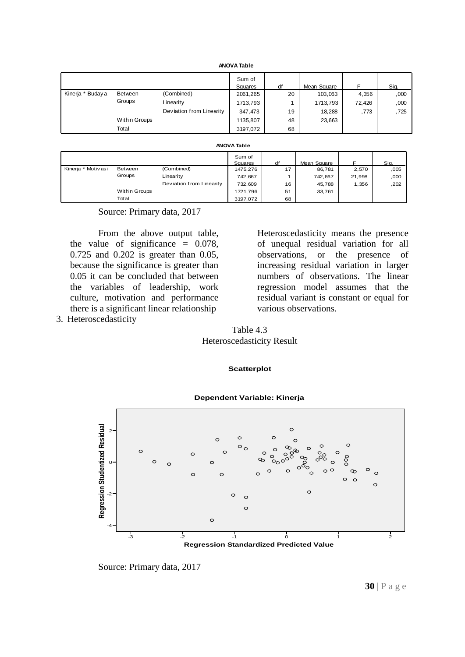| <b>ANOVA Table</b> |                      |                          |                   |    |             |        |      |  |
|--------------------|----------------------|--------------------------|-------------------|----|-------------|--------|------|--|
|                    |                      |                          | Sum of<br>Squares | df | Mean Square | F      | Sig. |  |
| Kinerja * Buday a  | Between              | (Combined)               | 2061,265          | 20 | 103,063     | 4,356  | ,000 |  |
|                    | Groups               | Linearity                | 1713,793          |    | 1713,793    | 72.426 | ,000 |  |
|                    |                      | Deviation from Linearity | 347,473           | 19 | 18,288      | ,773   | ,725 |  |
|                    | <b>Within Groups</b> |                          | 1135,807          | 48 | 23,663      |        |      |  |
|                    | Total                |                          | 3197,072          | 68 |             |        |      |  |

#### **ANOVA Table**

| <b>ANOVA Table</b> |                      |                          |                   |    |             |        |      |  |
|--------------------|----------------------|--------------------------|-------------------|----|-------------|--------|------|--|
|                    |                      |                          | Sum of<br>Squares | df | Mean Square | F      | Sig. |  |
| Kinerja * Motivasi | Between              | (Combined)               | 1475,276          | 17 | 86,781      | 2,570  | ,005 |  |
|                    | Groups               | Linearity                | 742,667           |    | 742,667     | 21,998 | ,000 |  |
|                    |                      | Deviation from Linearity | 732,609           | 16 | 45,788      | 1,356  | ,202 |  |
|                    | <b>Within Groups</b> |                          | 1721,796          | 51 | 33,761      |        |      |  |
|                    | Total                |                          | 3197.072          | 68 |             |        |      |  |

#### Source: Primary data, 2017

From the above output table, the value of significance = 0.078, 0.725 and 0.202 is greater than 0.05, because the significance is greater than 0.05 it can be concluded that between the variables of leadership, work culture, motivation and performance there is a significant linear relationship 3. Heteroscedasticity

Heteroscedasticity means the presence of unequal residual variation for all observations, or the presence of increasing residual variation in larger numbers of observations. The linear regression model assumes that the residual variant is constant or equal for various observations.

# Table 4.3 Heteroscedasticity Result

# **Scatterplot**

# **Regression Studentized Residual Bureau Studentized Residual Bureau Studentized Residual Bureau Studentized Residual Bureau Studentized Residual Bureau Studentized Residual Bureau Studentized Residual Bureau Studentized R** 2 0 -2 -4 **Dependent Variable: Kinerja**

**Regression Standardized Predicted Value**

Source: Primary data, 2017

## **30** | P a g e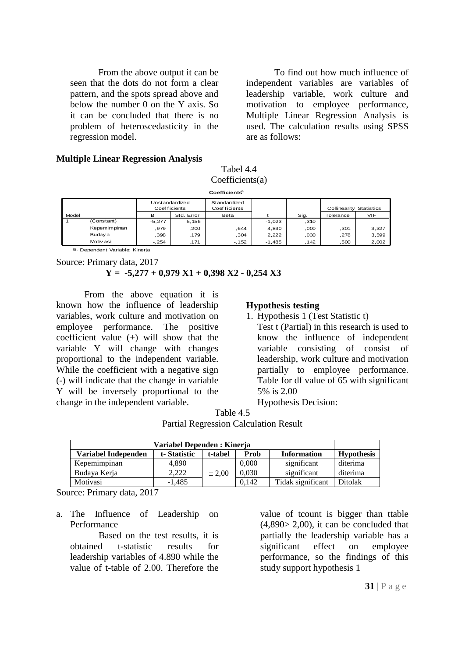From the above output it can be seen that the dots do not form a clear pattern, and the spots spread above and below the number 0 on the Y axis. So it can be concluded that there is no problem of heteroscedasticity in the regression model.

To find out how much influence of independent variables are variables of leadership variable, work culture and motivation to employee performance, Multiple Linear Regression Analysis is used. The calculation results using SPSS are as follows:

# **Multiple Linear Regression Analysis**

Tabel 4.4 Coefficients(a)

| $C$ oefficients $(a)$                                                                              |                                |          |            |        |          |       |           |       |  |
|----------------------------------------------------------------------------------------------------|--------------------------------|----------|------------|--------|----------|-------|-----------|-------|--|
| Coefficients <sup>a</sup>                                                                          |                                |          |            |        |          |       |           |       |  |
| Unstandardized<br>Standardized<br>Coef ficients<br>Coef ficients<br><b>Collinearity Statistics</b> |                                |          |            |        |          |       |           |       |  |
| Model                                                                                              |                                | в        | Std. Error | Beta   |          | Sig.  | Tolerance | VIF.  |  |
|                                                                                                    | (Constant)                     | $-5.277$ | 5,156      |        | $-1,023$ | ,310  |           |       |  |
|                                                                                                    | Kepemimpinan                   | .979     | ,200       | .644   | 4,890    | ,000  | ,301      | 3,327 |  |
|                                                                                                    | Buday a                        | .398     | ,179       | ,304   | 2,222    | ,030  | ,278      | 3,599 |  |
|                                                                                                    | <b>Motivasi</b>                | $-.254$  | ,171       | $-152$ | $-1,485$ | , 142 | ,500      | 2,002 |  |
|                                                                                                    | a. Dependent Variable: Kinerja |          |            |        |          |       |           |       |  |

Source: Primary data, 2017

**Y = -5,277 + 0,979 X1 + 0,398 X2 - 0,254 X3** 

From the above equation it is known how the influence of leadership variables, work culture and motivation on employee performance. The positive coefficient value (+) will show that the variable Y will change with changes proportional to the independent variable. While the coefficient with a negative sign (-) will indicate that the change in variable Y will be inversely proportional to the change in the independent variable.

#### **Hypothesis testing**

1. Hypothesis 1 (Test Statistic t)

Test t (Partial) in this research is used to know the influence of independent variable consisting of consist of leadership, work culture and motivation partially to employee performance. Table for df value of 65 with significant 5% is 2.00

Hypothesis Decision:

| Table 4.5                                    |  |
|----------------------------------------------|--|
| <b>Partial Regression Calculation Result</b> |  |

| Variabel Dependen : Kinerja |             |         |       |                    |                   |  |  |
|-----------------------------|-------------|---------|-------|--------------------|-------------------|--|--|
| Variabel Independen         | t-Statistic | t-tabel | Prob  | <b>Information</b> | <b>Hypothesis</b> |  |  |
| Kepemimpinan                | 4.890       |         | 0,000 | significant        | diterima          |  |  |
| Budava Keria                | 2.222       | ± 2.00  | 0,030 | significant        | diterima          |  |  |
| Motivasi                    | $-1.485$    |         | 0.142 | Tidak significant  | <b>Ditolak</b>    |  |  |

Source: Primary data, 2017

a. The Influence of Leadership on Performance

Based on the test results, it is obtained t-statistic results for leadership variables of 4.890 while the value of t-table of 2.00. Therefore the

value of tcount is bigger than ttable  $(4,890> 2,00)$ , it can be concluded that partially the leadership variable has a significant effect on employee performance, so the findings of this study support hypothesis 1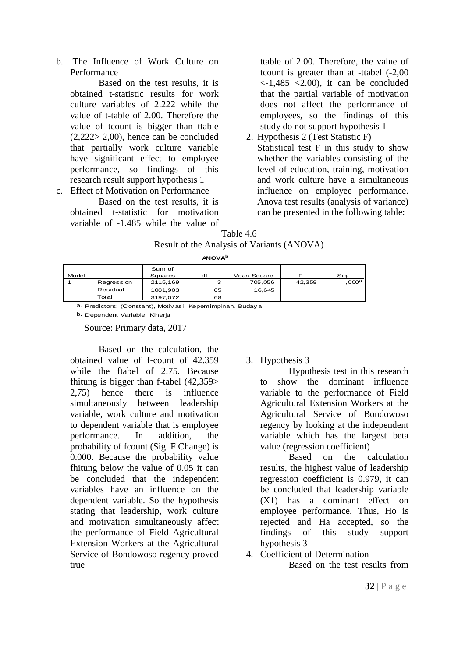b. The Influence of Work Culture on Performance

Based on the test results, it is obtained t-statistic results for work culture variables of 2.222 while the value of t-table of 2.00. Therefore the value of tcount is bigger than ttable  $(2,222> 2,00)$ , hence can be concluded that partially work culture variable have significant effect to employee performance, so findings of this research result support hypothesis 1 c. Effect of Motivation on Performance

Based on the test results, it is obtained t-statistic for motivation variable of -1.485 while the value of ttable of 2.00. Therefore, the value of tcount is greater than at -ttabel (-2,00  $\langle$ -1,485  $\langle$ 2.00), it can be concluded that the partial variable of motivation does not affect the performance of employees, so the findings of this study do not support hypothesis 1

2. Hypothesis 2 (Test Statistic F) Statistical test F in this study to show whether the variables consisting of the level of education, training, motivation and work culture have a simultaneous influence on employee performance. Anova test results (analysis of variance) can be presented in the following table:

Table 4.6 Result of the Analysis of Variants (ANOVA)

**ANOVA<sup>b</sup>**

| Model |            | Sum of<br>Squares | df | Mean Square |        | Sig.             |
|-------|------------|-------------------|----|-------------|--------|------------------|
|       | Regression | 2115,169          | з  | 705,056     | 42,359 | 000 <sup>a</sup> |
|       | Residual   | 1081,903          | 65 | 16.645      |        |                  |
|       | Total      | 3197.072          | 68 |             |        |                  |

a. Predictors: (Constant), Motiv asi, Kepemimpinan, Buday a

b. Dependent Variable: Kinerja

Source: Primary data, 2017

Based on the calculation, the obtained value of f-count of 42.359 while the ftabel of 2.75. Because fhitung is bigger than f-tabel (42,359> 2,75) hence there is influence simultaneously between leadership variable, work culture and motivation to dependent variable that is employee performance. In addition, the probability of fcount (Sig. F Change) is 0.000. Because the probability value fhitung below the value of 0.05 it can be concluded that the independent variables have an influence on the dependent variable. So the hypothesis stating that leadership, work culture and motivation simultaneously affect the performance of Field Agricultural Extension Workers at the Agricultural Service of Bondowoso regency proved true

# 3. Hypothesis 3

Hypothesis test in this research to show the dominant influence variable to the performance of Field Agricultural Extension Workers at the Agricultural Service of Bondowoso regency by looking at the independent variable which has the largest beta value (regression coefficient)

Based on the calculation results, the highest value of leadership regression coefficient is 0.979, it can be concluded that leadership variable (X1) has a dominant effect on employee performance. Thus, Ho is rejected and Ha accepted, so the findings of this study support hypothesis 3

4. Coefficient of Determination

Based on the test results from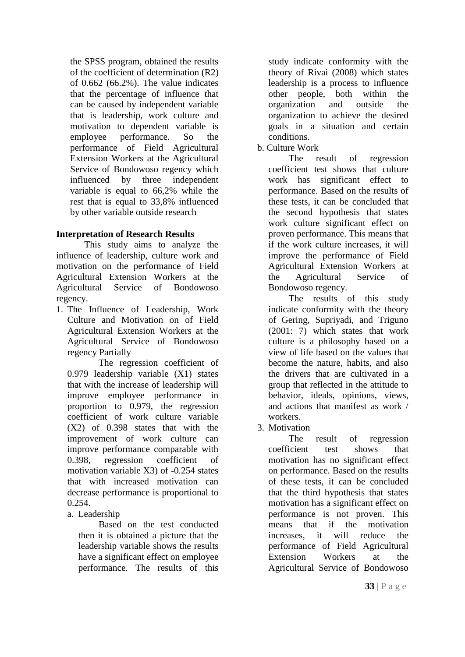the SPSS program, obtained the results of the coefficient of determination (R2) of 0.662 (66.2%). The value indicates that the percentage of influence that can be caused by independent variable that is leadership, work culture and motivation to dependent variable is employee performance. So the performance of Field Agricultural Extension Workers at the Agricultural Service of Bondowoso regency which influenced by three independent variable is equal to 66,2% while the rest that is equal to 33,8% influenced by other variable outside research

# **Interpretation of Research Results**

This study aims to analyze the influence of leadership, culture work and motivation on the performance of Field Agricultural Extension Workers at the Agricultural Service of Bondowoso regency.

1. The Influence of Leadership, Work Culture and Motivation on of Field Agricultural Extension Workers at the Agricultural Service of Bondowoso regency Partially

The regression coefficient of 0.979 leadership variable (X1) states that with the increase of leadership will improve employee performance in proportion to 0.979, the regression coefficient of work culture variable (X2) of 0.398 states that with the improvement of work culture can improve performance comparable with 0.398, regression coefficient of motivation variable X3) of -0.254 states that with increased motivation can decrease performance is proportional to 0.254.

a. Leadership

Based on the test conducted then it is obtained a picture that the leadership variable shows the results have a significant effect on employee performance. The results of this study indicate conformity with the theory of Rivai (2008) which states leadership is a process to influence other people, both within the organization and outside the organization to achieve the desired goals in a situation and certain conditions.

b. Culture Work

The result of regression coefficient test shows that culture work has significant effect to performance. Based on the results of these tests, it can be concluded that the second hypothesis that states work culture significant effect on proven performance. This means that if the work culture increases, it will improve the performance of Field Agricultural Extension Workers at the Agricultural Service of Bondowoso regency.

The results of this study indicate conformity with the theory of Gering, Supriyadi, and Triguno (2001: 7) which states that work culture is a philosophy based on a view of life based on the values that become the nature, habits, and also the drivers that are cultivated in a group that reflected in the attitude to behavior, ideals, opinions, views, and actions that manifest as work / workers.

3. Motivation

The result of regression coefficient test shows that motivation has no significant effect on performance. Based on the results of these tests, it can be concluded that the third hypothesis that states motivation has a significant effect on performance is not proven. This means that if the motivation increases, it will reduce the performance of Field Agricultural Extension Workers at the Agricultural Service of Bondowoso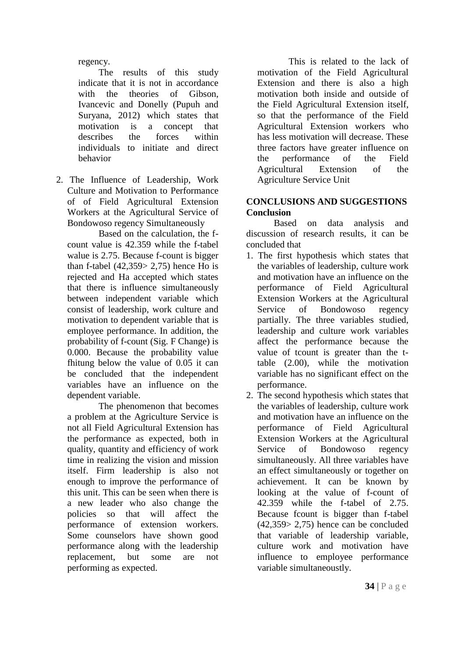regency.

The results of this study indicate that it is not in accordance with the theories of Gibson, Ivancevic and Donelly (Pupuh and Suryana, 2012) which states that motivation is a concept that describes the forces within individuals to initiate and direct behavior

2. The Influence of Leadership, Work Culture and Motivation to Performance of of Field Agricultural Extension Workers at the Agricultural Service of Bondowoso regency Simultaneously

Based on the calculation, the fcount value is 42.359 while the f-tabel walue is 2.75. Because f-count is bigger than f-tabel  $(42,359 > 2,75)$  hence Ho is rejected and Ha accepted which states that there is influence simultaneously between independent variable which consist of leadership, work culture and motivation to dependent variable that is employee performance. In addition, the probability of f-count (Sig. F Change) is 0.000. Because the probability value fhitung below the value of 0.05 it can be concluded that the independent variables have an influence on the dependent variable.

The phenomenon that becomes a problem at the Agriculture Service is not all Field Agricultural Extension has the performance as expected, both in quality, quantity and efficiency of work time in realizing the vision and mission itself. Firm leadership is also not enough to improve the performance of this unit. This can be seen when there is a new leader who also change the policies so that will affect the performance of extension workers. Some counselors have shown good performance along with the leadership replacement, but some are not performing as expected.

This is related to the lack of motivation of the Field Agricultural Extension and there is also a high motivation both inside and outside of the Field Agricultural Extension itself, so that the performance of the Field Agricultural Extension workers who has less motivation will decrease. These three factors have greater influence on the performance of the Field Agricultural Extension of the Agriculture Service Unit

# **CONCLUSIONS AND SUGGESTIONS Conclusion**

Based on data analysis and discussion of research results, it can be concluded that

- 1. The first hypothesis which states that the variables of leadership, culture work and motivation have an influence on the performance of Field Agricultural Extension Workers at the Agricultural Service of Bondowoso regency partially. The three variables studied, leadership and culture work variables affect the performance because the value of tcount is greater than the ttable (2.00), while the motivation variable has no significant effect on the performance.
- 2. The second hypothesis which states that the variables of leadership, culture work and motivation have an influence on the performance of Field Agricultural Extension Workers at the Agricultural Service of Bondowoso regency simultaneously. All three variables have an effect simultaneously or together on achievement. It can be known by looking at the value of f-count of 42.359 while the f-tabel of 2.75. Because fcount is bigger than f-tabel (42,359> 2,75) hence can be concluded that variable of leadership variable, culture work and motivation have influence to employee performance variable simultaneoustly.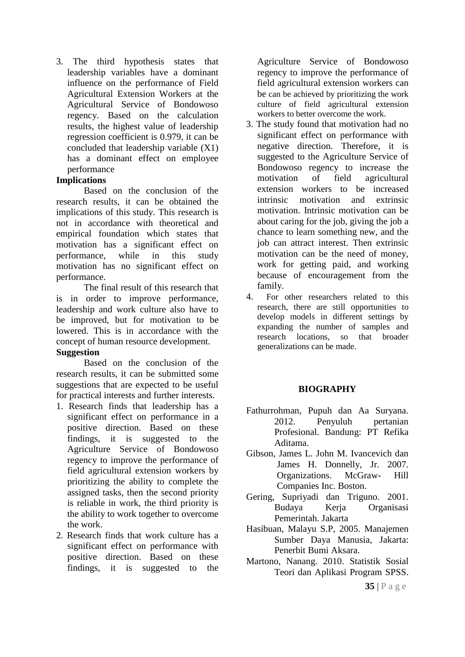3. The third hypothesis states that leadership variables have a dominant influence on the performance of Field Agricultural Extension Workers at the Agricultural Service of Bondowoso regency. Based on the calculation results, the highest value of leadership regression coefficient is 0.979, it can be concluded that leadership variable (X1) has a dominant effect on employee performance

# **Implications**

Based on the conclusion of the research results, it can be obtained the implications of this study. This research is not in accordance with theoretical and empirical foundation which states that motivation has a significant effect on performance, while in this study motivation has no significant effect on performance.

The final result of this research that is in order to improve performance, leadership and work culture also have to be improved, but for motivation to be lowered. This is in accordance with the concept of human resource development.

## **Suggestion**

Based on the conclusion of the research results, it can be submitted some suggestions that are expected to be useful for practical interests and further interests.

- 1. Research finds that leadership has a significant effect on performance in a positive direction. Based on these findings, it is suggested to the Agriculture Service of Bondowoso regency to improve the performance of field agricultural extension workers by prioritizing the ability to complete the assigned tasks, then the second priority is reliable in work, the third priority is the ability to work together to overcome the work.
- 2. Research finds that work culture has a significant effect on performance with positive direction. Based on these findings, it is suggested to the

Agriculture Service of Bondowoso regency to improve the performance of field agricultural extension workers can be can be achieved by prioritizing the work culture of field agricultural extension workers to better overcome the work.

- 3. The study found that motivation had no significant effect on performance with negative direction. Therefore, it is suggested to the Agriculture Service of Bondowoso regency to increase the motivation of field agricultural extension workers to be increased intrinsic motivation and extrinsic motivation. Intrinsic motivation can be about caring for the job, giving the job a chance to learn something new, and the job can attract interest. Then extrinsic motivation can be the need of money, work for getting paid, and working because of encouragement from the family.
- 4. For other researchers related to this research, there are still opportunities to develop models in different settings by expanding the number of samples and research locations, so that broader generalizations can be made.

# **BIOGRAPHY**

- Fathurrohman, Pupuh dan Aa Suryana. 2012. Penyuluh pertanian Profesional. Bandung: PT Refika Aditama.
- Gibson, James L. John M. Ivancevich dan James H. Donnelly, Jr. 2007. Organizations. McGraw- Hill Companies Inc. Boston.
- Gering, Supriyadi dan Triguno. 2001. Budaya Kerja Organisasi Pemerintah. Jakarta
- Hasibuan, Malayu S.P, 2005. Manajemen Sumber Daya Manusia, Jakarta: Penerbit Bumi Aksara.
- Martono, Nanang. 2010. Statistik Sosial Teori dan Aplikasi Program SPSS.